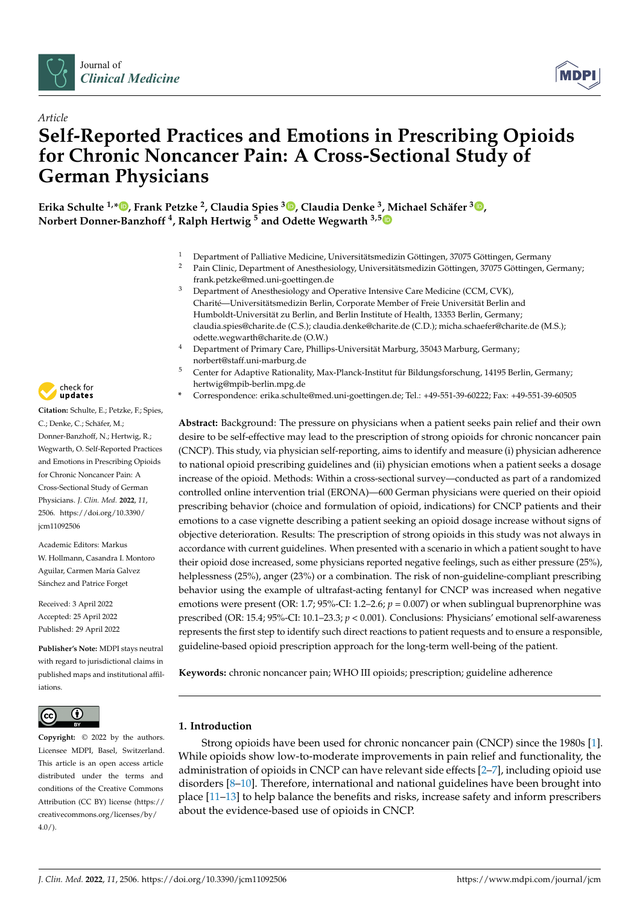



# *Article* **Self-Reported Practices and Emotions in Prescribing Opioids for Chronic Noncancer Pain: A Cross-Sectional Study of German Physicians**

**Erika Schulte 1,\* [,](https://orcid.org/0000-0002-9393-8537) Frank Petzke <sup>2</sup> , Claudia Spies <sup>3</sup> [,](https://orcid.org/0000-0002-1062-0495) Claudia Denke <sup>3</sup> , Michael Schäfer <sup>3</sup> [,](https://orcid.org/0000-0002-1581-706X) Norbert Donner-Banzhoff <sup>4</sup> , Ralph Hertwig <sup>5</sup> and Odette Wegwarth 3,[5](https://orcid.org/0000-0003-0885-2673)**

- <sup>1</sup> Department of Palliative Medicine, Universitätsmedizin Göttingen, 37075 Göttingen, Germany<br><sup>2</sup> Pain Clinic Department of Aperthesiology Universitätsmedizin Göttingen, 37075 Göttingen, G
- <sup>2</sup> Pain Clinic, Department of Anesthesiology, Universitätsmedizin Göttingen, 37075 Göttingen, Germany; frank.petzke@med.uni-goettingen.de
- <sup>3</sup> Department of Anesthesiology and Operative Intensive Care Medicine (CCM, CVK), Charité—Universitätsmedizin Berlin, Corporate Member of Freie Universität Berlin and Humboldt-Universität zu Berlin, and Berlin Institute of Health, 13353 Berlin, Germany; claudia.spies@charite.de (C.S.); claudia.denke@charite.de (C.D.); micha.schaefer@charite.de (M.S.); odette.wegwarth@charite.de (O.W.)
- <sup>4</sup> Department of Primary Care, Phillips-Universität Marburg, 35043 Marburg, Germany; norbert@staff.uni-marburg.de
- <sup>5</sup> Center for Adaptive Rationality, Max-Planck-Institut für Bildungsforschung, 14195 Berlin, Germany; hertwig@mpib-berlin.mpg.de
- **\*** Correspondence: erika.schulte@med.uni-goettingen.de; Tel.: +49-551-39-60222; Fax: +49-551-39-60505

**Abstract:** Background: The pressure on physicians when a patient seeks pain relief and their own desire to be self-effective may lead to the prescription of strong opioids for chronic noncancer pain (CNCP). This study, via physician self-reporting, aims to identify and measure (i) physician adherence to national opioid prescribing guidelines and (ii) physician emotions when a patient seeks a dosage increase of the opioid. Methods: Within a cross-sectional survey—conducted as part of a randomized controlled online intervention trial (ERONA)—600 German physicians were queried on their opioid prescribing behavior (choice and formulation of opioid, indications) for CNCP patients and their emotions to a case vignette describing a patient seeking an opioid dosage increase without signs of objective deterioration. Results: The prescription of strong opioids in this study was not always in accordance with current guidelines. When presented with a scenario in which a patient sought to have their opioid dose increased, some physicians reported negative feelings, such as either pressure (25%), helplessness (25%), anger (23%) or a combination. The risk of non-guideline-compliant prescribing behavior using the example of ultrafast-acting fentanyl for CNCP was increased when negative emotions were present (OR: 1.7; 95%-CI: 1.2–2.6; *p =* 0.007) or when sublingual buprenorphine was prescribed (OR: 15.4; 95%-CI: 10.1–23.3; *p* < 0.001). Conclusions: Physicians' emotional self-awareness represents the first step to identify such direct reactions to patient requests and to ensure a responsible, guideline-based opioid prescription approach for the long-term well-being of the patient.

**Keywords:** chronic noncancer pain; WHO III opioids; prescription; guideline adherence

# **1. Introduction**

Strong opioids have been used for chronic noncancer pain (CNCP) since the 1980s [\[1\]](#page-11-0). While opioids show low-to-moderate improvements in pain relief and functionality, the administration of opioids in CNCP can have relevant side effects [\[2–](#page-11-1)[7\]](#page-11-2), including opioid use disorders [\[8–](#page-11-3)[10\]](#page-12-0). Therefore, international and national guidelines have been brought into place [\[11–](#page-12-1)[13\]](#page-12-2) to help balance the benefits and risks, increase safety and inform prescribers about the evidence-based use of opioids in CNCP.



**Citation:** Schulte, E.; Petzke, F.; Spies, C.; Denke, C.; Schäfer, M.; Donner-Banzhoff, N.; Hertwig, R.; Wegwarth, O. Self-Reported Practices and Emotions in Prescribing Opioids for Chronic Noncancer Pain: A Cross-Sectional Study of German Physicians. *J. Clin. Med.* **2022**, *11*, 2506. [https://doi.org/10.3390/](https://doi.org/10.3390/jcm11092506) [jcm11092506](https://doi.org/10.3390/jcm11092506)

Academic Editors: Markus W. Hollmann, Casandra I. Montoro Aguilar, Carmen María Galvez Sánchez and Patrice Forget

Received: 3 April 2022 Accepted: 25 April 2022 Published: 29 April 2022

**Publisher's Note:** MDPI stays neutral with regard to jurisdictional claims in published maps and institutional affiliations.



**Copyright:** © 2022 by the authors. Licensee MDPI, Basel, Switzerland. This article is an open access article distributed under the terms and conditions of the Creative Commons Attribution (CC BY) license [\(https://](https://creativecommons.org/licenses/by/4.0/) [creativecommons.org/licenses/by/](https://creativecommons.org/licenses/by/4.0/)  $4.0/$ ).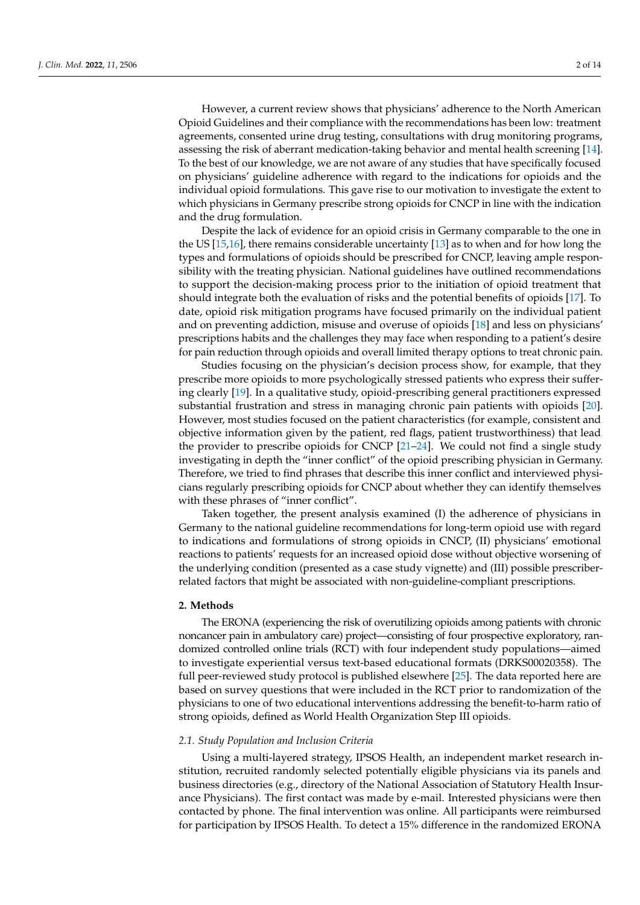However, a current review shows that physicians' adherence to the North American Opioid Guidelines and their compliance with the recommendations has been low: treatment agreements, consented urine drug testing, consultations with drug monitoring programs, assessing the risk of aberrant medication-taking behavior and mental health screening [\[14\]](#page-12-3). To the best of our knowledge, we are not aware of any studies that have specifically focused on physicians' guideline adherence with regard to the indications for opioids and the individual opioid formulations. This gave rise to our motivation to investigate the extent to which physicians in Germany prescribe strong opioids for CNCP in line with the indication and the drug formulation.

Despite the lack of evidence for an opioid crisis in Germany comparable to the one in the US [\[15,](#page-12-4)[16\]](#page-12-5), there remains considerable uncertainty [\[13\]](#page-12-2) as to when and for how long the types and formulations of opioids should be prescribed for CNCP, leaving ample responsibility with the treating physician. National guidelines have outlined recommendations to support the decision-making process prior to the initiation of opioid treatment that should integrate both the evaluation of risks and the potential benefits of opioids [\[17\]](#page-12-6). To date, opioid risk mitigation programs have focused primarily on the individual patient and on preventing addiction, misuse and overuse of opioids [\[18\]](#page-12-7) and less on physicians' prescriptions habits and the challenges they may face when responding to a patient's desire for pain reduction through opioids and overall limited therapy options to treat chronic pain.

Studies focusing on the physician's decision process show, for example, that they prescribe more opioids to more psychologically stressed patients who express their suffering clearly [\[19\]](#page-12-8). In a qualitative study, opioid-prescribing general practitioners expressed substantial frustration and stress in managing chronic pain patients with opioids [\[20\]](#page-12-9). However, most studies focused on the patient characteristics (for example, consistent and objective information given by the patient, red flags, patient trustworthiness) that lead the provider to prescribe opioids for CNCP [\[21–](#page-12-10)[24\]](#page-12-11). We could not find a single study investigating in depth the "inner conflict" of the opioid prescribing physician in Germany. Therefore, we tried to find phrases that describe this inner conflict and interviewed physicians regularly prescribing opioids for CNCP about whether they can identify themselves with these phrases of "inner conflict".

Taken together, the present analysis examined (I) the adherence of physicians in Germany to the national guideline recommendations for long-term opioid use with regard to indications and formulations of strong opioids in CNCP, (II) physicians' emotional reactions to patients' requests for an increased opioid dose without objective worsening of the underlying condition (presented as a case study vignette) and (III) possible prescriberrelated factors that might be associated with non-guideline-compliant prescriptions.

# **2. Methods**

The ERONA (experiencing the risk of overutilizing opioids among patients with chronic noncancer pain in ambulatory care) project—consisting of four prospective exploratory, randomized controlled online trials (RCT) with four independent study populations—aimed to investigate experiential versus text-based educational formats (DRKS00020358). The full peer-reviewed study protocol is published elsewhere [\[25\]](#page-12-12). The data reported here are based on survey questions that were included in the RCT prior to randomization of the physicians to one of two educational interventions addressing the benefit-to-harm ratio of strong opioids, defined as World Health Organization Step III opioids.

#### *2.1. Study Population and Inclusion Criteria*

Using a multi-layered strategy, IPSOS Health, an independent market research institution, recruited randomly selected potentially eligible physicians via its panels and business directories (e.g., directory of the National Association of Statutory Health Insurance Physicians). The first contact was made by e-mail. Interested physicians were then contacted by phone. The final intervention was online. All participants were reimbursed for participation by IPSOS Health. To detect a 15% difference in the randomized ERONA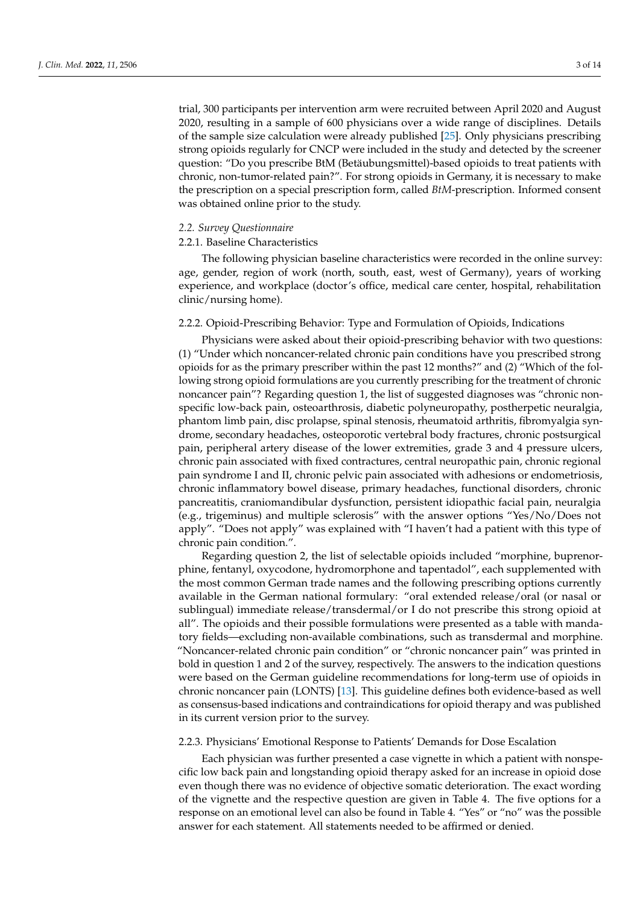trial, 300 participants per intervention arm were recruited between April 2020 and August 2020, resulting in a sample of 600 physicians over a wide range of disciplines. Details of the sample size calculation were already published [\[25\]](#page-12-12). Only physicians prescribing strong opioids regularly for CNCP were included in the study and detected by the screener question: "Do you prescribe BtM (Betäubungsmittel)-based opioids to treat patients with chronic, non-tumor-related pain?". For strong opioids in Germany, it is necessary to make the prescription on a special prescription form, called *BtM*-prescription. Informed consent was obtained online prior to the study.

# *2.2. Survey Questionnaire*

# 2.2.1. Baseline Characteristics

The following physician baseline characteristics were recorded in the online survey: age, gender, region of work (north, south, east, west of Germany), years of working experience, and workplace (doctor's office, medical care center, hospital, rehabilitation clinic/nursing home).

# 2.2.2. Opioid-Prescribing Behavior: Type and Formulation of Opioids, Indications

Physicians were asked about their opioid-prescribing behavior with two questions: (1) "Under which noncancer-related chronic pain conditions have you prescribed strong opioids for as the primary prescriber within the past 12 months?" and (2) "Which of the following strong opioid formulations are you currently prescribing for the treatment of chronic noncancer pain"? Regarding question 1, the list of suggested diagnoses was "chronic nonspecific low-back pain, osteoarthrosis, diabetic polyneuropathy, postherpetic neuralgia, phantom limb pain, disc prolapse, spinal stenosis, rheumatoid arthritis, fibromyalgia syndrome, secondary headaches, osteoporotic vertebral body fractures, chronic postsurgical pain, peripheral artery disease of the lower extremities, grade 3 and 4 pressure ulcers, chronic pain associated with fixed contractures, central neuropathic pain, chronic regional pain syndrome I and II, chronic pelvic pain associated with adhesions or endometriosis, chronic inflammatory bowel disease, primary headaches, functional disorders, chronic pancreatitis, craniomandibular dysfunction, persistent idiopathic facial pain, neuralgia (e.g., trigeminus) and multiple sclerosis" with the answer options "Yes/No/Does not apply". "Does not apply" was explained with "I haven't had a patient with this type of chronic pain condition.".

Regarding question 2, the list of selectable opioids included "morphine, buprenorphine, fentanyl, oxycodone, hydromorphone and tapentadol", each supplemented with the most common German trade names and the following prescribing options currently available in the German national formulary: "oral extended release/oral (or nasal or sublingual) immediate release/transdermal/or I do not prescribe this strong opioid at all". The opioids and their possible formulations were presented as a table with mandatory fields—excluding non-available combinations, such as transdermal and morphine. "Noncancer-related chronic pain condition" or "chronic noncancer pain" was printed in bold in question 1 and 2 of the survey, respectively. The answers to the indication questions were based on the German guideline recommendations for long-term use of opioids in chronic noncancer pain (LONTS) [\[13\]](#page-12-2). This guideline defines both evidence-based as well as consensus-based indications and contraindications for opioid therapy and was published in its current version prior to the survey.

### 2.2.3. Physicians' Emotional Response to Patients' Demands for Dose Escalation

Each physician was further presented a case vignette in which a patient with nonspecific low back pain and longstanding opioid therapy asked for an increase in opioid dose even though there was no evidence of objective somatic deterioration. The exact wording of the vignette and the respective question are given in Table 4. The five options for a response on an emotional level can also be found in Table 4. "Yes" or "no" was the possible answer for each statement. All statements needed to be affirmed or denied.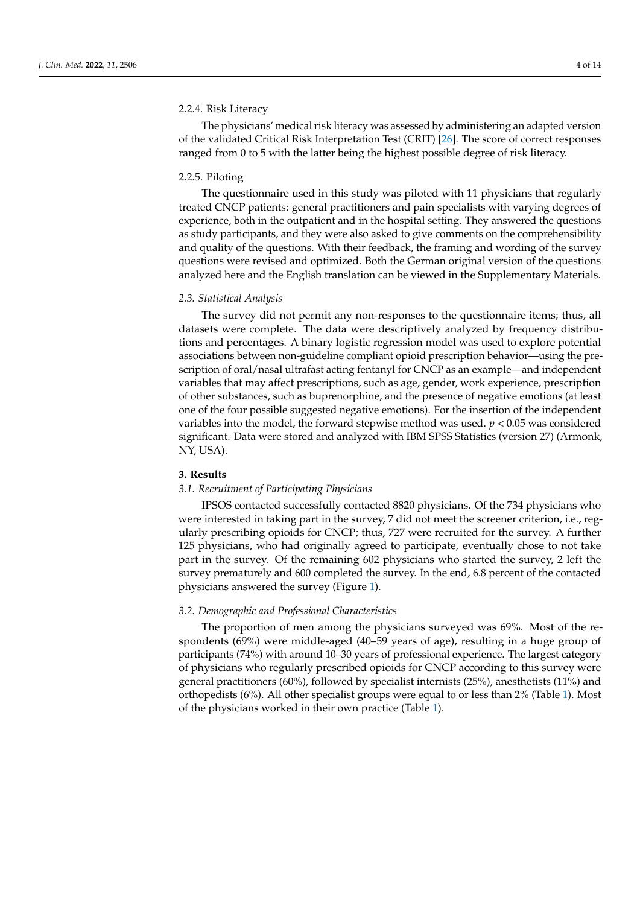# 2.2.4. Risk Literacy

The physicians' medical risk literacy was assessed by administering an adapted version of the validated Critical Risk Interpretation Test (CRIT) [\[26\]](#page-12-13). The score of correct responses ranged from 0 to 5 with the latter being the highest possible degree of risk literacy.

### 2.2.5. Piloting

The questionnaire used in this study was piloted with 11 physicians that regularly treated CNCP patients: general practitioners and pain specialists with varying degrees of experience, both in the outpatient and in the hospital setting. They answered the questions as study participants, and they were also asked to give comments on the comprehensibility and quality of the questions. With their feedback, the framing and wording of the survey questions were revised and optimized. Both the German original version of the questions analyzed here and the English translation can be viewed in the Supplementary Materials.

# *2.3. Statistical Analysis*

The survey did not permit any non-responses to the questionnaire items; thus, all datasets were complete. The data were descriptively analyzed by frequency distributions and percentages. A binary logistic regression model was used to explore potential associations between non-guideline compliant opioid prescription behavior—using the prescription of oral/nasal ultrafast acting fentanyl for CNCP as an example—and independent variables that may affect prescriptions, such as age, gender, work experience, prescription of other substances, such as buprenorphine, and the presence of negative emotions (at least one of the four possible suggested negative emotions). For the insertion of the independent variables into the model, the forward stepwise method was used. *p* < 0.05 was considered significant. Data were stored and analyzed with IBM SPSS Statistics (version 27) (Armonk, NY, USA).

# **3. Results**

# *3.1. Recruitment of Participating Physicians*

IPSOS contacted successfully contacted 8820 physicians. Of the 734 physicians who were interested in taking part in the survey, 7 did not meet the screener criterion, i.e., regularly prescribing opioids for CNCP; thus, 727 were recruited for the survey. A further 125 physicians, who had originally agreed to participate, eventually chose to not take part in the survey. Of the remaining 602 physicians who started the survey, 2 left the survey prematurely and 600 completed the survey. In the end, 6.8 percent of the contacted physicians answered the survey (Figure [1\)](#page-4-0).

#### *3.2. Demographic and Professional Characteristics*

The proportion of men among the physicians surveyed was 69%. Most of the respondents (69%) were middle-aged (40–59 years of age), resulting in a huge group of participants (74%) with around 10–30 years of professional experience. The largest category of physicians who regularly prescribed opioids for CNCP according to this survey were general practitioners (60%), followed by specialist internists (25%), anesthetists (11%) and orthopedists (6%). All other specialist groups were equal to or less than 2% (Table [1\)](#page-4-1). Most of the physicians worked in their own practice (Table [1\)](#page-4-1).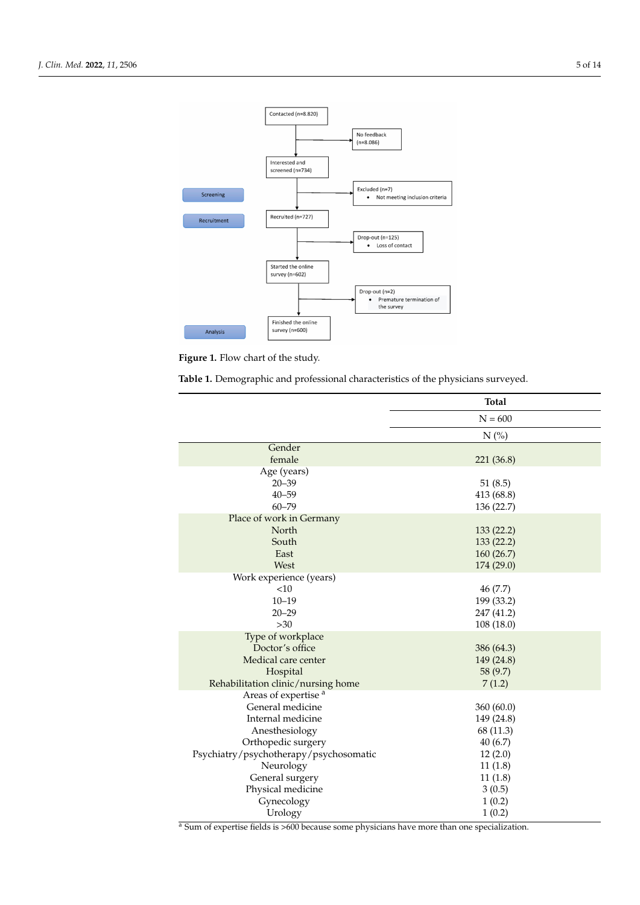<span id="page-4-0"></span>

**Figure 1.** Flow chart of the study.

<span id="page-4-1"></span>**Table 1.** Demographic and professional characteristics of the physicians surveyed.

|                                        | <b>Total</b> |
|----------------------------------------|--------------|
|                                        | $N = 600$    |
|                                        | $N$ (%)      |
| Gender                                 |              |
| female                                 | 221 (36.8)   |
| Age (years)                            |              |
| $20 - 39$                              | 51(8.5)      |
| $40 - 59$                              | 413 (68.8)   |
| $60 - 79$                              | 136 (22.7)   |
| Place of work in Germany               |              |
| North                                  | 133(22.2)    |
| South                                  | 133 (22.2)   |
| East                                   | 160(26.7)    |
| West                                   | 174 (29.0)   |
| Work experience (years)                |              |
| <10<br>$10 - 19$                       | 46(7.7)      |
|                                        | 199 (33.2)   |
| $20 - 29$<br>$>30$                     | 247 (41.2)   |
| Type of workplace                      | 108 (18.0)   |
| Doctor's office                        | 386 (64.3)   |
| Medical care center                    | 149 (24.8)   |
| Hospital                               | 58 (9.7)     |
| Rehabilitation clinic/nursing home     | 7(1.2)       |
| Areas of expertise <sup>a</sup>        |              |
| General medicine                       | 360(60.0)    |
| Internal medicine                      | 149 (24.8)   |
| Anesthesiology                         | 68 (11.3)    |
| Orthopedic surgery                     | 40(6.7)      |
| Psychiatry/psychotherapy/psychosomatic | 12(2.0)      |
| Neurology                              | 11(1.8)      |
| General surgery                        | 11(1.8)      |
| Physical medicine                      | 3(0.5)       |
| Gynecology                             | 1(0.2)       |
| Urology                                | 1(0.2)       |

<sup>a</sup> Sum of expertise fields is >600 because some physicians have more than one specialization.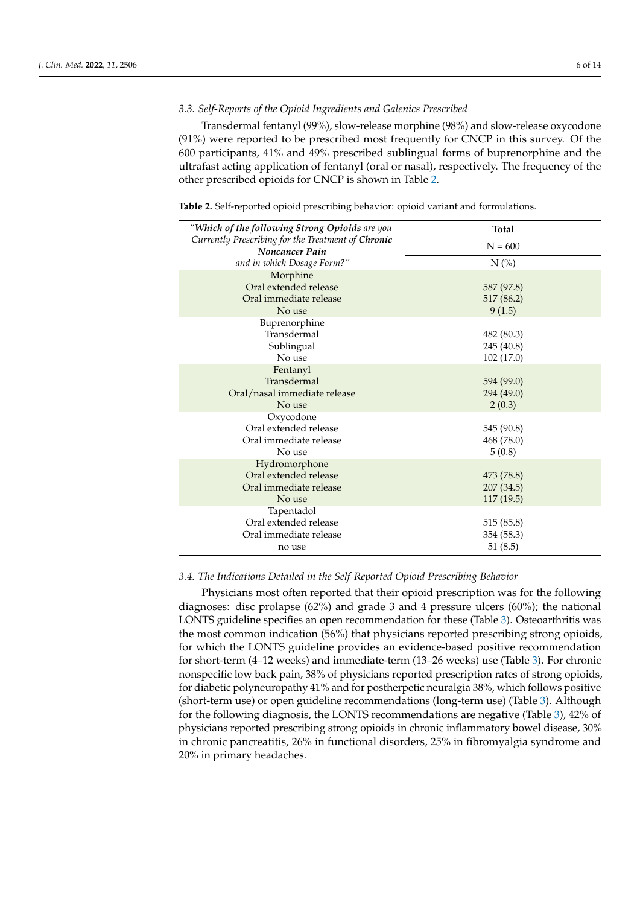# *3.3. Self-Reports of the Opioid Ingredients and Galenics Prescribed*

Transdermal fentanyl (99%), slow-release morphine (98%) and slow-release oxycodone (91%) were reported to be prescribed most frequently for CNCP in this survey. Of the 600 participants, 41% and 49% prescribed sublingual forms of buprenorphine and the ultrafast acting application of fentanyl (oral or nasal), respectively. The frequency of the other prescribed opioids for CNCP is shown in Table [2.](#page-5-0)

<span id="page-5-0"></span>**Table 2.** Self-reported opioid prescribing behavior: opioid variant and formulations.

| "Which of the following Strong Opioids are you                              | <b>Total</b>                           |  |
|-----------------------------------------------------------------------------|----------------------------------------|--|
| Currently Prescribing for the Treatment of Chronic<br><b>Noncancer Pain</b> | $N = 600$                              |  |
| and in which Dosage Form?"                                                  | $N$ (%)                                |  |
| Morphine<br>Oral extended release<br>Oral immediate release<br>No use       | 587 (97.8)<br>517 (86.2)<br>9(1.5)     |  |
| Buprenorphine<br>Transdermal<br>Sublingual<br>No use                        | 482 (80.3)<br>245 (40.8)<br>102 (17.0) |  |
| Fentanyl<br>Transdermal<br>Oral/nasal immediate release<br>No use           | 594 (99.0)<br>294 (49.0)<br>2(0.3)     |  |
| Oxycodone<br>Oral extended release<br>Oral immediate release<br>No use      | 545 (90.8)<br>468 (78.0)<br>5(0.8)     |  |
| Hydromorphone<br>Oral extended release<br>Oral immediate release<br>No use  | 473 (78.8)<br>207 (34.5)<br>117(19.5)  |  |
| Tapentadol<br>Oral extended release<br>Oral immediate release<br>no use     | 515 (85.8)<br>354 (58.3)<br>51 (8.5)   |  |

# *3.4. The Indications Detailed in the Self-Reported Opioid Prescribing Behavior*

Physicians most often reported that their opioid prescription was for the following diagnoses: disc prolapse (62%) and grade 3 and 4 pressure ulcers (60%); the national LONTS guideline specifies an open recommendation for these (Table [3\)](#page-6-0). Osteoarthritis was the most common indication (56%) that physicians reported prescribing strong opioids, for which the LONTS guideline provides an evidence-based positive recommendation for short-term (4–12 weeks) and immediate-term (13–26 weeks) use (Table [3\)](#page-6-0). For chronic nonspecific low back pain, 38% of physicians reported prescription rates of strong opioids, for diabetic polyneuropathy 41% and for postherpetic neuralgia 38%, which follows positive (short-term use) or open guideline recommendations (long-term use) (Table [3\)](#page-6-0). Although for the following diagnosis, the LONTS recommendations are negative (Table [3\)](#page-6-0), 42% of physicians reported prescribing strong opioids in chronic inflammatory bowel disease, 30% in chronic pancreatitis, 26% in functional disorders, 25% in fibromyalgia syndrome and 20% in primary headaches.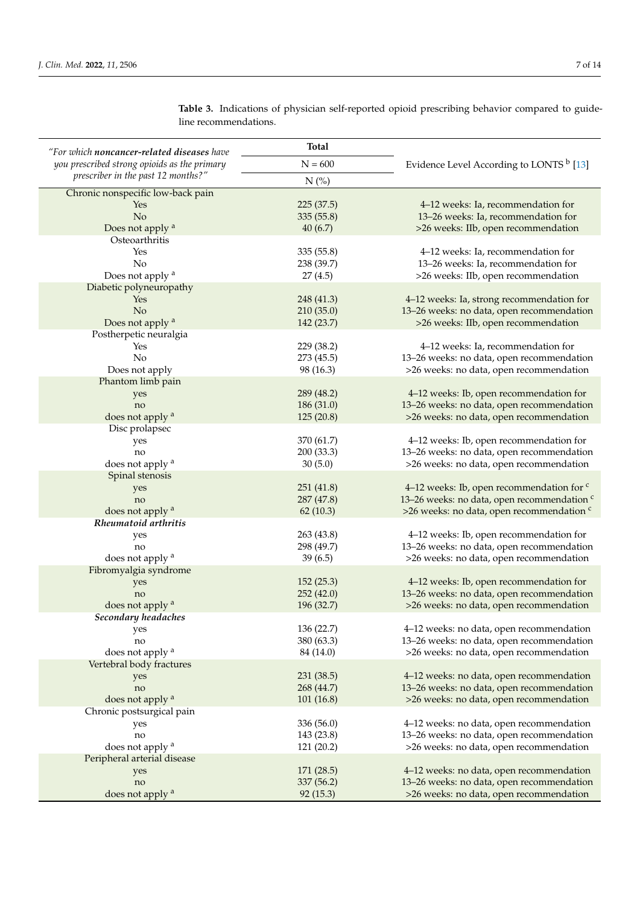| "For which <b>noncancer-related diseases</b> have      | <b>Total</b>           |                                                                                          |
|--------------------------------------------------------|------------------------|------------------------------------------------------------------------------------------|
| you prescribed strong opioids as the primary           | $N = 600$              | Evidence Level According to LONTS <sup>b</sup> [13]                                      |
| prescriber in the past 12 months?"                     | $N$ (%)                |                                                                                          |
| Chronic nonspecific low-back pain                      |                        |                                                                                          |
| Yes                                                    | 225 (37.5)             | 4-12 weeks: Ia, recommendation for                                                       |
| N <sub>o</sub>                                         | 335 (55.8)             | 13-26 weeks: Ia, recommendation for                                                      |
| Does not apply <sup>a</sup>                            | 40(6.7)                | >26 weeks: IIb, open recommendation                                                      |
| Osteoarthritis                                         |                        |                                                                                          |
| Yes                                                    | 335 (55.8)             | 4-12 weeks: Ia, recommendation for                                                       |
| No                                                     | 238 (39.7)             | 13-26 weeks: Ia, recommendation for                                                      |
| Does not apply <sup>a</sup><br>Diabetic polyneuropathy | 27(4.5)                | >26 weeks: IIb, open recommendation                                                      |
| <b>Yes</b>                                             | 248 (41.3)             | 4-12 weeks: Ia, strong recommendation for                                                |
| No                                                     | 210 (35.0)             | 13-26 weeks: no data, open recommendation                                                |
| Does not apply <sup>a</sup>                            | 142 (23.7)             | >26 weeks: IIb, open recommendation                                                      |
| Postherpetic neuralgia                                 |                        |                                                                                          |
| Yes                                                    | 229 (38.2)             | 4-12 weeks: Ia, recommendation for                                                       |
| No                                                     | 273 (45.5)             | 13-26 weeks: no data, open recommendation                                                |
| Does not apply                                         | 98 (16.3)              | >26 weeks: no data, open recommendation                                                  |
| Phantom limb pain                                      |                        |                                                                                          |
| yes                                                    | 289 (48.2)             | 4-12 weeks: Ib, open recommendation for                                                  |
| no                                                     | 186 (31.0)             | 13-26 weeks: no data, open recommendation                                                |
| does not apply <sup>a</sup>                            | 125(20.8)              | >26 weeks: no data, open recommendation                                                  |
| Disc prolapsec                                         |                        |                                                                                          |
| yes                                                    | 370 (61.7)             | 4-12 weeks: Ib, open recommendation for                                                  |
| no                                                     | 200 (33.3)             | 13-26 weeks: no data, open recommendation                                                |
| does not apply <sup>a</sup>                            | 30(5.0)                | >26 weeks: no data, open recommendation                                                  |
| Spinal stenosis                                        |                        |                                                                                          |
| yes                                                    | 251 (41.8)             | 4–12 weeks: Ib, open recommendation for $\text{c}$                                       |
| no<br>does not apply <sup>a</sup>                      | 287 (47.8)<br>62(10.3) | 13-26 weeks: no data, open recommendation c<br>>26 weeks: no data, open recommendation c |
| Rheumatoid arthritis                                   |                        |                                                                                          |
| yes                                                    | 263 (43.8)             | 4-12 weeks: Ib, open recommendation for                                                  |
| no                                                     | 298 (49.7)             | 13-26 weeks: no data, open recommendation                                                |
| does not apply <sup>a</sup>                            | 39(6.5)                | >26 weeks: no data, open recommendation                                                  |
| Fibromyalgia syndrome                                  |                        |                                                                                          |
| yes                                                    | 152 (25.3)             | 4-12 weeks: Ib, open recommendation for                                                  |
| no                                                     | 252 (42.0)             | 13-26 weeks: no data, open recommendation                                                |
| does not apply <sup>a</sup>                            | 196 (32.7)             | >26 weeks: no data, open recommendation                                                  |
| Secondary headaches                                    |                        |                                                                                          |
| yes                                                    | 136 (22.7)             | 4-12 weeks: no data, open recommendation                                                 |
| no                                                     | 380 (63.3)             | 13-26 weeks: no data, open recommendation                                                |
| does not apply <sup>a</sup>                            | 84 (14.0)              | >26 weeks: no data, open recommendation                                                  |
| Vertebral body fractures                               |                        |                                                                                          |
| yes                                                    | 231 (38.5)             | 4-12 weeks: no data, open recommendation                                                 |
| no                                                     | 268 (44.7)             | 13-26 weeks: no data, open recommendation<br>>26 weeks: no data, open recommendation     |
| does not apply a<br>Chronic postsurgical pain          | 101(16.8)              |                                                                                          |
| yes                                                    | 336 (56.0)             | 4-12 weeks: no data, open recommendation                                                 |
| no                                                     | 143 (23.8)             | 13-26 weeks: no data, open recommendation                                                |
| does not apply <sup>a</sup>                            | 121 (20.2)             | >26 weeks: no data, open recommendation                                                  |
| Peripheral arterial disease                            |                        |                                                                                          |
| yes                                                    | 171 (28.5)             | 4-12 weeks: no data, open recommendation                                                 |
| no                                                     | 337 (56.2)             | 13-26 weeks: no data, open recommendation                                                |
| does not apply <sup>a</sup>                            | 92 (15.3)              | >26 weeks: no data, open recommendation                                                  |

<span id="page-6-0"></span>**Table 3.** Indications of physician self-reported opioid prescribing behavior compared to guideline recommendations.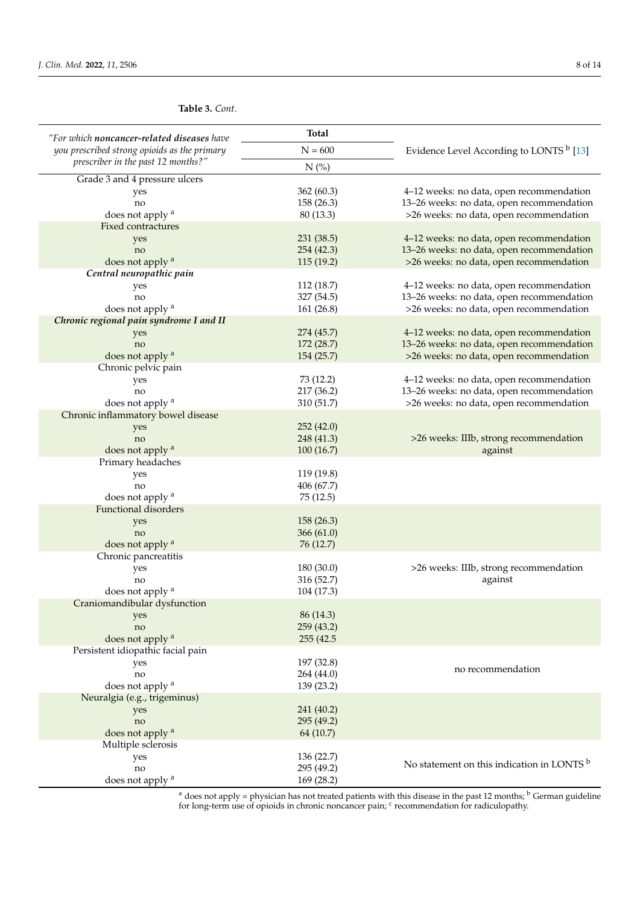| <b>Total</b><br>"For which noncancer-related diseases have       |                          |                                                                                       |
|------------------------------------------------------------------|--------------------------|---------------------------------------------------------------------------------------|
| you prescribed strong opioids as the primary                     | $N = 600$                | Evidence Level According to LONTS <sup>b</sup> [13]                                   |
| prescriber in the past 12 months?"                               | $N$ (%)                  |                                                                                       |
| Grade 3 and 4 pressure ulcers                                    |                          |                                                                                       |
| yes                                                              | 362 (60.3)               | 4-12 weeks: no data, open recommendation                                              |
| no                                                               | 158 (26.3)               | 13-26 weeks: no data, open recommendation                                             |
| does not apply <sup>a</sup>                                      | 80 (13.3)                | >26 weeks: no data, open recommendation                                               |
| Fixed contractures                                               |                          |                                                                                       |
| yes                                                              | 231 (38.5)               | 4-12 weeks: no data, open recommendation<br>13-26 weeks: no data, open recommendation |
| no                                                               | 254(42.3)                | >26 weeks: no data, open recommendation                                               |
| does not apply <sup>a</sup><br>Central neuropathic pain          | 115 (19.2)               |                                                                                       |
| yes                                                              | 112 (18.7)               | 4-12 weeks: no data, open recommendation                                              |
| no                                                               | 327 (54.5)               | 13-26 weeks: no data, open recommendation                                             |
| does not apply <sup>a</sup>                                      | 161 (26.8)               | >26 weeks: no data, open recommendation                                               |
| Chronic regional pain syndrome I and II                          |                          |                                                                                       |
| yes                                                              | 274 (45.7)               | 4-12 weeks: no data, open recommendation                                              |
| no                                                               | 172 (28.7)               | 13-26 weeks: no data, open recommendation                                             |
| does not apply <sup>a</sup>                                      | 154 (25.7)               | >26 weeks: no data, open recommendation                                               |
| Chronic pelvic pain                                              |                          |                                                                                       |
| yes                                                              | 73 (12.2)                | 4-12 weeks: no data, open recommendation                                              |
| no                                                               | 217 (36.2)               | 13-26 weeks: no data, open recommendation                                             |
| does not apply <sup>a</sup>                                      | 310 (51.7)               | >26 weeks: no data, open recommendation                                               |
| Chronic inflammatory bowel disease                               |                          |                                                                                       |
| yes                                                              | 252 (42.0)               |                                                                                       |
| no                                                               | 248 (41.3)               | >26 weeks: IIIb, strong recommendation                                                |
| does not apply a                                                 | 100(16.7)                | against                                                                               |
| Primary headaches                                                |                          |                                                                                       |
| yes                                                              | 119 (19.8)               |                                                                                       |
| no                                                               | 406 (67.7)               |                                                                                       |
| does not apply <sup>a</sup>                                      | 75 (12.5)                |                                                                                       |
| <b>Functional disorders</b>                                      |                          |                                                                                       |
| yes                                                              | 158 (26.3)               |                                                                                       |
| no                                                               | 366 (61.0)               |                                                                                       |
| does not apply <sup>a</sup>                                      | 76 (12.7)                |                                                                                       |
| Chronic pancreatitis                                             |                          |                                                                                       |
| yes                                                              | 180 (30.0)               | >26 weeks: IIIb, strong recommendation                                                |
| no                                                               | 316 (52.7)               | against                                                                               |
| does not apply <sup>a</sup>                                      | 104 (17.3)               |                                                                                       |
| Craniomandibular dysfunction                                     |                          |                                                                                       |
| yes                                                              | 86 (14.3)                |                                                                                       |
| no                                                               | 259 (43.2)<br>255 (42.5) |                                                                                       |
| does not apply <sup>a</sup><br>Persistent idiopathic facial pain |                          |                                                                                       |
|                                                                  | 197 (32.8)               |                                                                                       |
| yes<br>$\rm no$                                                  | 264 (44.0)               | no recommendation                                                                     |
| does not apply <sup>a</sup>                                      | 139 (23.2)               |                                                                                       |
| Neuralgia (e.g., trigeminus)                                     |                          |                                                                                       |
| yes                                                              | 241 (40.2)               |                                                                                       |
| no                                                               | 295 (49.2)               |                                                                                       |
| does not apply <sup>a</sup>                                      | 64 (10.7)                |                                                                                       |
| Multiple sclerosis                                               |                          |                                                                                       |
| yes                                                              | 136 (22.7)               |                                                                                       |
| no                                                               | 295 (49.2)               | No statement on this indication in LONTS <sup>b</sup>                                 |
| does not apply <sup>a</sup>                                      | 169 (28.2)               |                                                                                       |

 $a$  does not apply = physician has not treated patients with this disease in the past 12 months;  $b$  German guideline for long-term use of opioids in chronic noncancer pain; <sup>c</sup> recommendation for radiculopathy.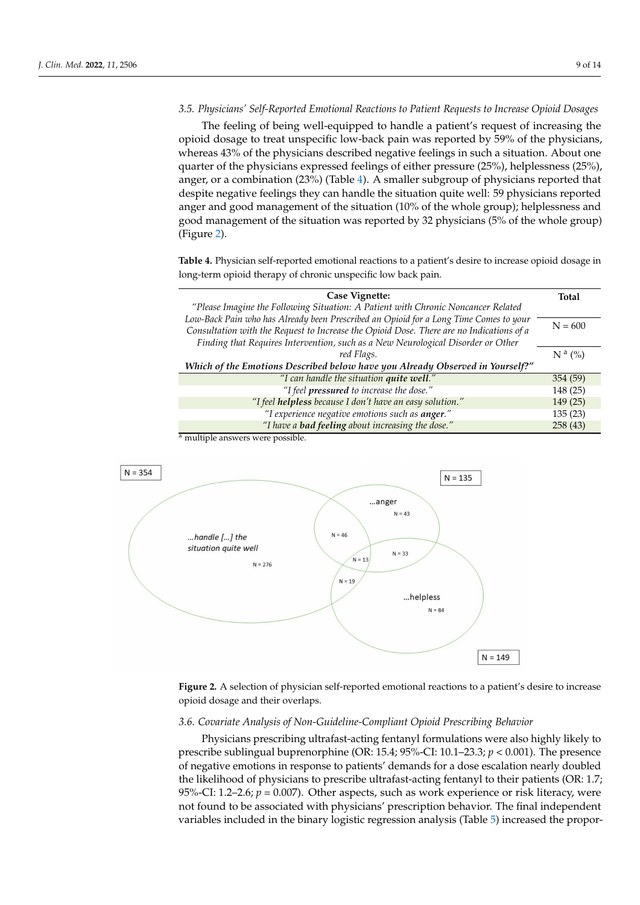#### *3.5. Physicians' Self-Reported Emotional Reactions to Patient Requests to Increase Opioid Dosages*

The feeling of being well-equipped to handle a patient's request of increasing the opioid dosage to treat unspecific low-back pain was reported by 59% of the physicians, whereas 43% of the physicians described negative feelings in such a situation. About one quarter of the physicians expressed feelings of either pressure (25%), helplessness (25%), anger, or a combination (23%) (Table [4\)](#page-8-0). A smaller subgroup of physicians reported that despite negative feelings they can handle the situation quite well: 59 physicians reported anger and good management of the situation (10% of the whole group); helplessness and good management of the situation was reported by 32 physicians (5% of the whole group) (Figure [2\)](#page-8-1).

<span id="page-8-0"></span>**Table 4.** Physician self-reported emotional reactions to a patient's desire to increase opioid dosage in long-term opioid therapy of chronic unspecific low back pain.

| Case Vignette:                                                                                                                                                                    | Total     |  |
|-----------------------------------------------------------------------------------------------------------------------------------------------------------------------------------|-----------|--|
| "Please Imagine the Following Situation: A Patient with Chronic Noncancer Related                                                                                                 |           |  |
| Low-Back Pain who has Already been Prescribed an Opioid for a Long Time Comes to your<br>Consultation with the Request to Increase the Opioid Dose. There are no Indications of a |           |  |
| Finding that Requires Intervention, such as a New Neurological Disorder or Other                                                                                                  |           |  |
| red Flags.                                                                                                                                                                        | $N^a$ (%) |  |
| Which of the Emotions Described below have you Already Observed in Yourself?"                                                                                                     |           |  |
| "I can handle the situation quite well."                                                                                                                                          | 354 (59)  |  |
| "I feel pressured to increase the dose."                                                                                                                                          | 148 (25)  |  |
| "I feel helpless because I don't have an easy solution."                                                                                                                          | 149(25)   |  |
| "I experience negative emotions such as anger."                                                                                                                                   | 135(23)   |  |
| "I have a bad feeling about increasing the dose."                                                                                                                                 | 258(43)   |  |

<span id="page-8-1"></span>



**Figure 2.** A selection of physician self-reported emotional reactions to a patient's desire to increase opioid dosage and their overlaps.

#### *3.6. Covariate Analysis of Non-Guideline-Compliant Opioid Prescribing Behavior*

Physicians prescribing ultrafast-acting fentanyl formulations were also highly likely to prescribe sublingual buprenorphine (OR: 15.4; 95%-CI: 10.1–23.3; *p* < 0.001). The presence of negative emotions in response to patients' demands for a dose escalation nearly doubled the likelihood of physicians to prescribe ultrafast-acting fentanyl to their patients (OR: 1.7; 95%-CI: 1.2–2.6; *p =* 0.007). Other aspects, such as work experience or risk literacy, were not found to be associated with physicians' prescription behavior. The final independent variables included in the binary logistic regression analysis (Table [5\)](#page-9-0) increased the propor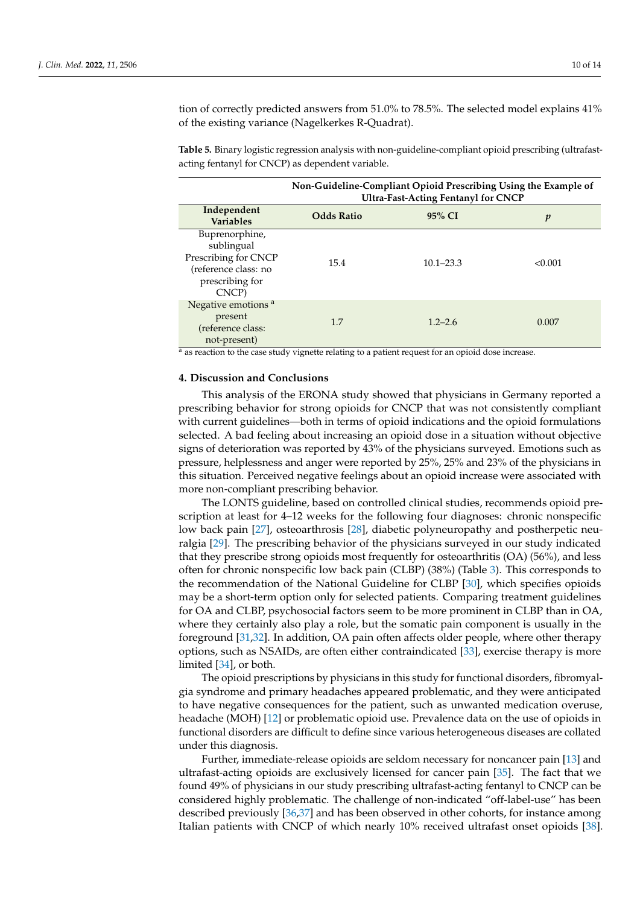tion of correctly predicted answers from 51.0% to 78.5%. The selected model explains 41% of the existing variance (Nagelkerkes R-Quadrat).

<span id="page-9-0"></span>**Table 5.** Binary logistic regression analysis with non-guideline-compliant opioid prescribing (ultrafastacting fentanyl for CNCP) as dependent variable.

|                                                                                                          | Non-Guideline-Compliant Opioid Prescribing Using the Example of<br><b>Ultra-Fast-Acting Fentanyl for CNCP</b> |               |         |
|----------------------------------------------------------------------------------------------------------|---------------------------------------------------------------------------------------------------------------|---------------|---------|
| Independent<br><b>Variables</b>                                                                          | <b>Odds Ratio</b>                                                                                             | 95% CI        | p       |
| Buprenorphine,<br>sublingual<br>Prescribing for CNCP<br>(reference class: no<br>prescribing for<br>CNCP) | 15.4                                                                                                          | $10.1 - 23.3$ | < 0.001 |
| Negative emotions <sup>a</sup><br>present<br>(reference class:<br>not-present)                           | 1.7                                                                                                           | $1.2 - 2.6$   | 0.007   |

<sup>a</sup> as reaction to the case study vignette relating to a patient request for an opioid dose increase.

#### **4. Discussion and Conclusions**

This analysis of the ERONA study showed that physicians in Germany reported a prescribing behavior for strong opioids for CNCP that was not consistently compliant with current guidelines—both in terms of opioid indications and the opioid formulations selected. A bad feeling about increasing an opioid dose in a situation without objective signs of deterioration was reported by 43% of the physicians surveyed. Emotions such as pressure, helplessness and anger were reported by 25%, 25% and 23% of the physicians in this situation. Perceived negative feelings about an opioid increase were associated with more non-compliant prescribing behavior.

The LONTS guideline, based on controlled clinical studies, recommends opioid prescription at least for 4–12 weeks for the following four diagnoses: chronic nonspecific low back pain [\[27\]](#page-12-14), osteoarthrosis [\[28\]](#page-12-15), diabetic polyneuropathy and postherpetic neuralgia [\[29\]](#page-12-16). The prescribing behavior of the physicians surveyed in our study indicated that they prescribe strong opioids most frequently for osteoarthritis (OA) (56%), and less often for chronic nonspecific low back pain (CLBP) (38%) (Table [3\)](#page-6-0). This corresponds to the recommendation of the National Guideline for CLBP [\[30\]](#page-12-17), which specifies opioids may be a short-term option only for selected patients. Comparing treatment guidelines for OA and CLBP, psychosocial factors seem to be more prominent in CLBP than in OA, where they certainly also play a role, but the somatic pain component is usually in the foreground [\[31,](#page-12-18)[32\]](#page-13-0). In addition, OA pain often affects older people, where other therapy options, such as NSAIDs, are often either contraindicated [\[33\]](#page-13-1), exercise therapy is more limited [\[34\]](#page-13-2), or both.

The opioid prescriptions by physicians in this study for functional disorders, fibromyalgia syndrome and primary headaches appeared problematic, and they were anticipated to have negative consequences for the patient, such as unwanted medication overuse, headache (MOH) [\[12\]](#page-12-19) or problematic opioid use. Prevalence data on the use of opioids in functional disorders are difficult to define since various heterogeneous diseases are collated under this diagnosis.

Further, immediate-release opioids are seldom necessary for noncancer pain [\[13\]](#page-12-2) and ultrafast-acting opioids are exclusively licensed for cancer pain [\[35\]](#page-13-3). The fact that we found 49% of physicians in our study prescribing ultrafast-acting fentanyl to CNCP can be considered highly problematic. The challenge of non-indicated "off-label-use" has been described previously [\[36](#page-13-4)[,37\]](#page-13-5) and has been observed in other cohorts, for instance among Italian patients with CNCP of which nearly 10% received ultrafast onset opioids [\[38\]](#page-13-6).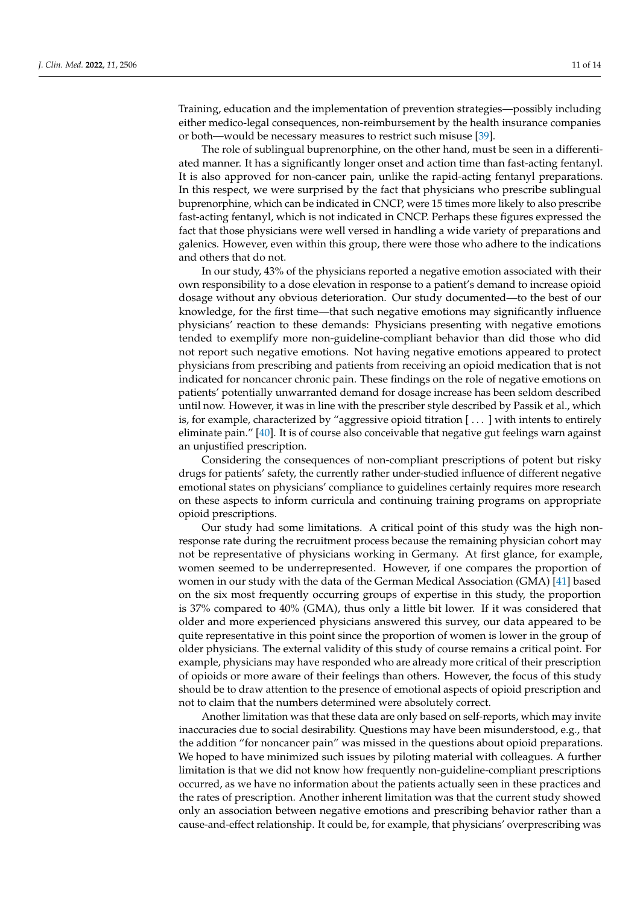Training, education and the implementation of prevention strategies—possibly including either medico-legal consequences, non-reimbursement by the health insurance companies or both—would be necessary measures to restrict such misuse [\[39\]](#page-13-7).

The role of sublingual buprenorphine, on the other hand, must be seen in a differentiated manner. It has a significantly longer onset and action time than fast-acting fentanyl. It is also approved for non-cancer pain, unlike the rapid-acting fentanyl preparations. In this respect, we were surprised by the fact that physicians who prescribe sublingual buprenorphine, which can be indicated in CNCP, were 15 times more likely to also prescribe fast-acting fentanyl, which is not indicated in CNCP. Perhaps these figures expressed the fact that those physicians were well versed in handling a wide variety of preparations and galenics. However, even within this group, there were those who adhere to the indications and others that do not.

In our study, 43% of the physicians reported a negative emotion associated with their own responsibility to a dose elevation in response to a patient's demand to increase opioid dosage without any obvious deterioration. Our study documented—to the best of our knowledge, for the first time—that such negative emotions may significantly influence physicians' reaction to these demands: Physicians presenting with negative emotions tended to exemplify more non-guideline-compliant behavior than did those who did not report such negative emotions. Not having negative emotions appeared to protect physicians from prescribing and patients from receiving an opioid medication that is not indicated for noncancer chronic pain. These findings on the role of negative emotions on patients' potentially unwarranted demand for dosage increase has been seldom described until now. However, it was in line with the prescriber style described by Passik et al., which is, for example, characterized by "aggressive opioid titration [ . . . ] with intents to entirely eliminate pain." [\[40\]](#page-13-8). It is of course also conceivable that negative gut feelings warn against an unjustified prescription.

Considering the consequences of non-compliant prescriptions of potent but risky drugs for patients' safety, the currently rather under-studied influence of different negative emotional states on physicians' compliance to guidelines certainly requires more research on these aspects to inform curricula and continuing training programs on appropriate opioid prescriptions.

Our study had some limitations. A critical point of this study was the high nonresponse rate during the recruitment process because the remaining physician cohort may not be representative of physicians working in Germany. At first glance, for example, women seemed to be underrepresented. However, if one compares the proportion of women in our study with the data of the German Medical Association (GMA) [\[41\]](#page-13-9) based on the six most frequently occurring groups of expertise in this study, the proportion is 37% compared to 40% (GMA), thus only a little bit lower. If it was considered that older and more experienced physicians answered this survey, our data appeared to be quite representative in this point since the proportion of women is lower in the group of older physicians. The external validity of this study of course remains a critical point. For example, physicians may have responded who are already more critical of their prescription of opioids or more aware of their feelings than others. However, the focus of this study should be to draw attention to the presence of emotional aspects of opioid prescription and not to claim that the numbers determined were absolutely correct.

Another limitation was that these data are only based on self-reports, which may invite inaccuracies due to social desirability. Questions may have been misunderstood, e.g., that the addition "for noncancer pain" was missed in the questions about opioid preparations. We hoped to have minimized such issues by piloting material with colleagues. A further limitation is that we did not know how frequently non-guideline-compliant prescriptions occurred, as we have no information about the patients actually seen in these practices and the rates of prescription. Another inherent limitation was that the current study showed only an association between negative emotions and prescribing behavior rather than a cause-and-effect relationship. It could be, for example, that physicians' overprescribing was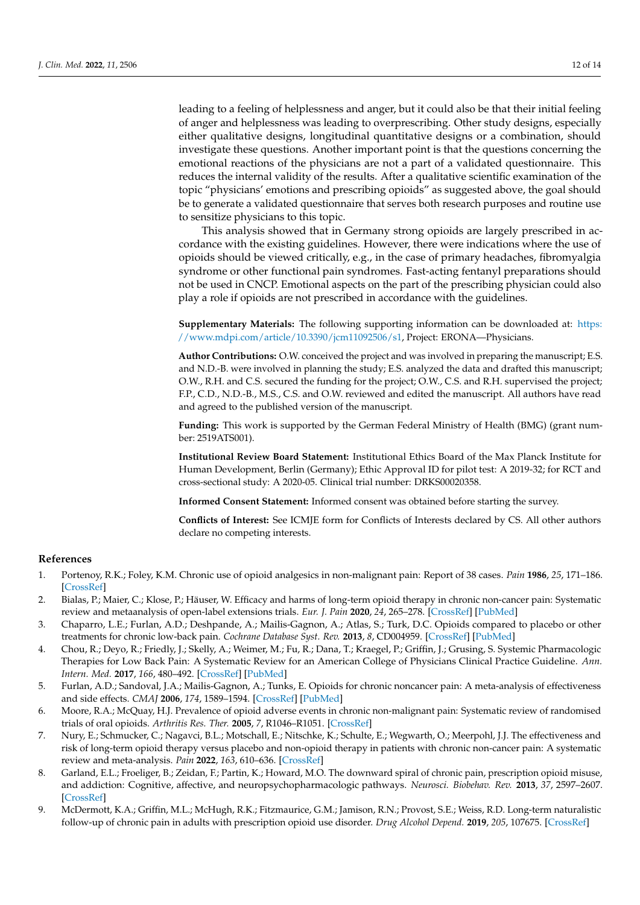leading to a feeling of helplessness and anger, but it could also be that their initial feeling of anger and helplessness was leading to overprescribing. Other study designs, especially either qualitative designs, longitudinal quantitative designs or a combination, should investigate these questions. Another important point is that the questions concerning the emotional reactions of the physicians are not a part of a validated questionnaire. This reduces the internal validity of the results. After a qualitative scientific examination of the topic "physicians' emotions and prescribing opioids" as suggested above, the goal should be to generate a validated questionnaire that serves both research purposes and routine use to sensitize physicians to this topic.

This analysis showed that in Germany strong opioids are largely prescribed in accordance with the existing guidelines. However, there were indications where the use of opioids should be viewed critically, e.g., in the case of primary headaches, fibromyalgia syndrome or other functional pain syndromes. Fast-acting fentanyl preparations should not be used in CNCP. Emotional aspects on the part of the prescribing physician could also play a role if opioids are not prescribed in accordance with the guidelines.

**Supplementary Materials:** The following supporting information can be downloaded at: [https:](https://www.mdpi.com/article/10.3390/jcm11092506/s1) [//www.mdpi.com/article/10.3390/jcm11092506/s1,](https://www.mdpi.com/article/10.3390/jcm11092506/s1) Project: ERONA—Physicians.

**Author Contributions:** O.W. conceived the project and was involved in preparing the manuscript; E.S. and N.D.-B. were involved in planning the study; E.S. analyzed the data and drafted this manuscript; O.W., R.H. and C.S. secured the funding for the project; O.W., C.S. and R.H. supervised the project; F.P., C.D., N.D.-B., M.S., C.S. and O.W. reviewed and edited the manuscript. All authors have read and agreed to the published version of the manuscript.

**Funding:** This work is supported by the German Federal Ministry of Health (BMG) (grant number: 2519ATS001).

**Institutional Review Board Statement:** Institutional Ethics Board of the Max Planck Institute for Human Development, Berlin (Germany); Ethic Approval ID for pilot test: A 2019-32; for RCT and cross-sectional study: A 2020-05. Clinical trial number: DRKS00020358.

**Informed Consent Statement:** Informed consent was obtained before starting the survey.

**Conflicts of Interest:** See ICMJE form for Conflicts of Interests declared by CS. All other authors declare no competing interests.

# **References**

- <span id="page-11-0"></span>1. Portenoy, R.K.; Foley, K.M. Chronic use of opioid analgesics in non-malignant pain: Report of 38 cases. *Pain* **1986**, *25*, 171–186. [\[CrossRef\]](http://doi.org/10.1016/0304-3959(86)90091-6)
- <span id="page-11-1"></span>2. Bialas, P.; Maier, C.; Klose, P.; Häuser, W. Efficacy and harms of long-term opioid therapy in chronic non-cancer pain: Systematic review and metaanalysis of open-label extensions trials. *Eur. J. Pain* **2020**, *24*, 265–278. [\[CrossRef\]](http://doi.org/10.1002/ejp.1496) [\[PubMed\]](http://www.ncbi.nlm.nih.gov/pubmed/31661587)
- 3. Chaparro, L.E.; Furlan, A.D.; Deshpande, A.; Mailis-Gagnon, A.; Atlas, S.; Turk, D.C. Opioids compared to placebo or other treatments for chronic low-back pain. *Cochrane Database Syst. Rev.* **2013**, *8*, CD004959. [\[CrossRef\]](http://doi.org/10.1002/14651858.CD004959.pub4) [\[PubMed\]](http://www.ncbi.nlm.nih.gov/pubmed/23983011)
- 4. Chou, R.; Deyo, R.; Friedly, J.; Skelly, A.; Weimer, M.; Fu, R.; Dana, T.; Kraegel, P.; Griffin, J.; Grusing, S. Systemic Pharmacologic Therapies for Low Back Pain: A Systematic Review for an American College of Physicians Clinical Practice Guideline. *Ann. Intern. Med.* **2017**, *166*, 480–492. [\[CrossRef\]](http://doi.org/10.7326/M16-2458) [\[PubMed\]](http://www.ncbi.nlm.nih.gov/pubmed/28192790)
- 5. Furlan, A.D.; Sandoval, J.A.; Mailis-Gagnon, A.; Tunks, E. Opioids for chronic noncancer pain: A meta-analysis of effectiveness and side effects. *CMAJ* **2006**, *174*, 1589–1594. [\[CrossRef\]](http://doi.org/10.1503/cmaj.051528) [\[PubMed\]](http://www.ncbi.nlm.nih.gov/pubmed/16717269)
- 6. Moore, R.A.; McQuay, H.J. Prevalence of opioid adverse events in chronic non-malignant pain: Systematic review of randomised trials of oral opioids. *Arthritis Res. Ther.* **2005**, *7*, R1046–R1051. [\[CrossRef\]](http://doi.org/10.1186/ar1782)
- <span id="page-11-2"></span>7. Nury, E.; Schmucker, C.; Nagavci, B.L.; Motschall, E.; Nitschke, K.; Schulte, E.; Wegwarth, O.; Meerpohl, J.J. The effectiveness and risk of long-term opioid therapy versus placebo and non-opioid therapy in patients with chronic non-cancer pain: A systematic review and meta-analysis. *Pain* **2022**, *163*, 610–636. [\[CrossRef\]](http://doi.org/10.1097/j.pain.0000000000002423)
- <span id="page-11-3"></span>8. Garland, E.L.; Froeliger, B.; Zeidan, F.; Partin, K.; Howard, M.O. The downward spiral of chronic pain, prescription opioid misuse, and addiction: Cognitive, affective, and neuropsychopharmacologic pathways. *Neurosci. Biobehav. Rev.* **2013**, *37*, 2597–2607. [\[CrossRef\]](http://doi.org/10.1016/j.neubiorev.2013.08.006)
- 9. McDermott, K.A.; Griffin, M.L.; McHugh, R.K.; Fitzmaurice, G.M.; Jamison, R.N.; Provost, S.E.; Weiss, R.D. Long-term naturalistic follow-up of chronic pain in adults with prescription opioid use disorder. *Drug Alcohol Depend.* **2019**, *205*, 107675. [\[CrossRef\]](http://doi.org/10.1016/j.drugalcdep.2019.107675)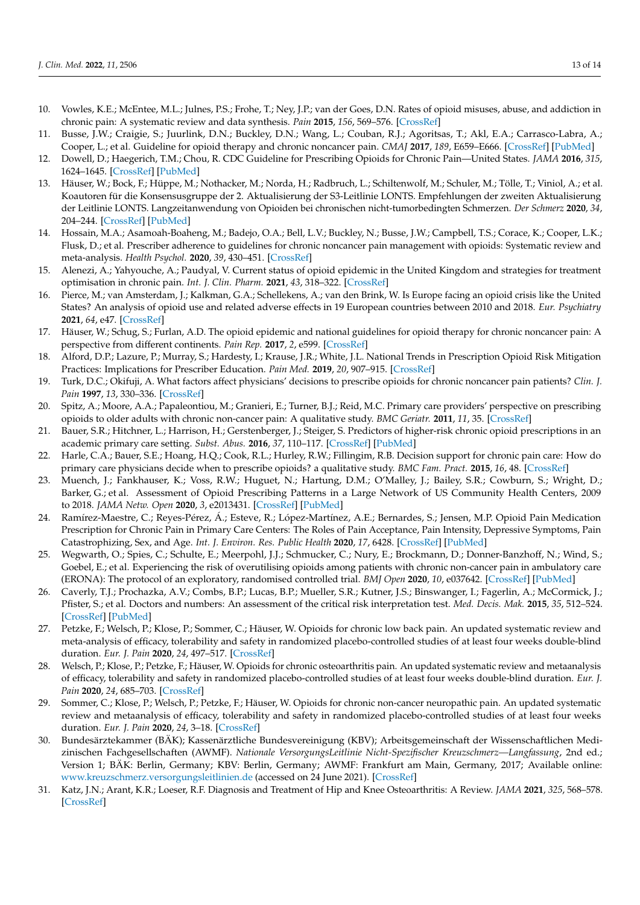- <span id="page-12-0"></span>10. Vowles, K.E.; McEntee, M.L.; Julnes, P.S.; Frohe, T.; Ney, J.P.; van der Goes, D.N. Rates of opioid misuses, abuse, and addiction in chronic pain: A systematic review and data synthesis. *Pain* **2015**, *156*, 569–576. [\[CrossRef\]](http://doi.org/10.1097/01.j.pain.0000460357.01998.f1)
- <span id="page-12-1"></span>11. Busse, J.W.; Craigie, S.; Juurlink, D.N.; Buckley, D.N.; Wang, L.; Couban, R.J.; Agoritsas, T.; Akl, E.A.; Carrasco-Labra, A.; Cooper, L.; et al. Guideline for opioid therapy and chronic noncancer pain. *CMAJ* **2017**, *189*, E659–E666. [\[CrossRef\]](http://doi.org/10.1503/cmaj.170363) [\[PubMed\]](http://www.ncbi.nlm.nih.gov/pubmed/28483845)
- <span id="page-12-19"></span>12. Dowell, D.; Haegerich, T.M.; Chou, R. CDC Guideline for Prescribing Opioids for Chronic Pain—United States. *JAMA* **2016**, *315*, 1624–1645. [\[CrossRef\]](http://doi.org/10.1001/jama.2016.1464) [\[PubMed\]](http://www.ncbi.nlm.nih.gov/pubmed/26977696)
- <span id="page-12-2"></span>13. Häuser, W.; Bock, F.; Hüppe, M.; Nothacker, M.; Norda, H.; Radbruch, L.; Schiltenwolf, M.; Schuler, M.; Tölle, T.; Viniol, A.; et al. Koautoren für die Konsensusgruppe der 2. Aktualisierung der S3-Leitlinie LONTS. Empfehlungen der zweiten Aktualisierung der Leitlinie LONTS. Langzeitanwendung von Opioiden bei chronischen nicht-tumorbedingten Schmerzen. *Der Schmerz* **2020**, *34*, 204–244. [\[CrossRef\]](http://doi.org/10.1007/s00482-020-00472-y) [\[PubMed\]](http://www.ncbi.nlm.nih.gov/pubmed/32377861)
- <span id="page-12-3"></span>14. Hossain, M.A.; Asamoah-Boaheng, M.; Badejo, O.A.; Bell, L.V.; Buckley, N.; Busse, J.W.; Campbell, T.S.; Corace, K.; Cooper, L.K.; Flusk, D.; et al. Prescriber adherence to guidelines for chronic noncancer pain management with opioids: Systematic review and meta-analysis. *Health Psychol.* **2020**, *39*, 430–451. [\[CrossRef\]](http://doi.org/10.1037/hea0000830)
- <span id="page-12-4"></span>15. Alenezi, A.; Yahyouche, A.; Paudyal, V. Current status of opioid epidemic in the United Kingdom and strategies for treatment optimisation in chronic pain. *Int. J. Clin. Pharm.* **2021**, *43*, 318–322. [\[CrossRef\]](http://doi.org/10.1007/s11096-020-01205-y)
- <span id="page-12-5"></span>16. Pierce, M.; van Amsterdam, J.; Kalkman, G.A.; Schellekens, A.; van den Brink, W. Is Europe facing an opioid crisis like the United States? An analysis of opioid use and related adverse effects in 19 European countries between 2010 and 2018. *Eur. Psychiatry* **2021**, *64*, e47. [\[CrossRef\]](http://doi.org/10.1192/j.eurpsy.2021.2219)
- <span id="page-12-6"></span>17. Häuser, W.; Schug, S.; Furlan, A.D. The opioid epidemic and national guidelines for opioid therapy for chronic noncancer pain: A perspective from different continents. *Pain Rep.* **2017**, *2*, e599. [\[CrossRef\]](http://doi.org/10.1097/PR9.0000000000000599)
- <span id="page-12-7"></span>18. Alford, D.P.; Lazure, P.; Murray, S.; Hardesty, I.; Krause, J.R.; White, J.L. National Trends in Prescription Opioid Risk Mitigation Practices: Implications for Prescriber Education. *Pain Med.* **2019**, *20*, 907–915. [\[CrossRef\]](http://doi.org/10.1093/pm/pny298)
- <span id="page-12-8"></span>19. Turk, D.C.; Okifuji, A. What factors affect physicians' decisions to prescribe opioids for chronic noncancer pain patients? *Clin. J. Pain* **1997**, *13*, 330–336. [\[CrossRef\]](http://doi.org/10.1097/00002508-199712000-00011)
- <span id="page-12-9"></span>20. Spitz, A.; Moore, A.A.; Papaleontiou, M.; Granieri, E.; Turner, B.J.; Reid, M.C. Primary care providers' perspective on prescribing opioids to older adults with chronic non-cancer pain: A qualitative study. *BMC Geriatr.* **2011**, *11*, 35. [\[CrossRef\]](http://doi.org/10.1186/1471-2318-11-35)
- <span id="page-12-10"></span>21. Bauer, S.R.; Hitchner, L.; Harrison, H.; Gerstenberger, J.; Steiger, S. Predictors of higher-risk chronic opioid prescriptions in an academic primary care setting. *Subst. Abus.* **2016**, *37*, 110–117. [\[CrossRef\]](http://doi.org/10.1080/08897077.2015.1129020) [\[PubMed\]](http://www.ncbi.nlm.nih.gov/pubmed/26848633)
- 22. Harle, C.A.; Bauer, S.E.; Hoang, H.Q.; Cook, R.L.; Hurley, R.W.; Fillingim, R.B. Decision support for chronic pain care: How do primary care physicians decide when to prescribe opioids? a qualitative study. *BMC Fam. Pract.* **2015**, *16*, 48. [\[CrossRef\]](http://doi.org/10.1186/s12875-015-0264-3)
- 23. Muench, J.; Fankhauser, K.; Voss, R.W.; Huguet, N.; Hartung, D.M.; O'Malley, J.; Bailey, S.R.; Cowburn, S.; Wright, D.; Barker, G.; et al. Assessment of Opioid Prescribing Patterns in a Large Network of US Community Health Centers, 2009 to 2018. *JAMA Netw. Open* **2020**, *3*, e2013431. [\[CrossRef\]](http://doi.org/10.1001/jamanetworkopen.2020.13431) [\[PubMed\]](http://www.ncbi.nlm.nih.gov/pubmed/32945874)
- <span id="page-12-11"></span>24. Ramírez-Maestre, C.; Reyes-Pérez, Á.; Esteve, R.; López-Martínez, A.E.; Bernardes, S.; Jensen, M.P. Opioid Pain Medication Prescription for Chronic Pain in Primary Care Centers: The Roles of Pain Acceptance, Pain Intensity, Depressive Symptoms, Pain Catastrophizing, Sex, and Age. *Int. J. Environ. Res. Public Health* **2020**, *17*, 6428. [\[CrossRef\]](http://doi.org/10.3390/ijerph17176428) [\[PubMed\]](http://www.ncbi.nlm.nih.gov/pubmed/32899359)
- <span id="page-12-12"></span>25. Wegwarth, O.; Spies, C.; Schulte, E.; Meerpohl, J.J.; Schmucker, C.; Nury, E.; Brockmann, D.; Donner-Banzhoff, N.; Wind, S.; Goebel, E.; et al. Experiencing the risk of overutilising opioids among patients with chronic non-cancer pain in ambulatory care (ERONA): The protocol of an exploratory, randomised controlled trial. *BMJ Open* **2020**, *10*, e037642. [\[CrossRef\]](http://doi.org/10.1136/bmjopen-2020-037642) [\[PubMed\]](http://www.ncbi.nlm.nih.gov/pubmed/32895283)
- <span id="page-12-13"></span>26. Caverly, T.J.; Prochazka, A.V.; Combs, B.P.; Lucas, B.P.; Mueller, S.R.; Kutner, J.S.; Binswanger, I.; Fagerlin, A.; McCormick, J.; Pfister, S.; et al. Doctors and numbers: An assessment of the critical risk interpretation test. *Med. Decis. Mak.* **2015**, *35*, 512–524. [\[CrossRef\]](http://doi.org/10.1177/0272989X14558423) [\[PubMed\]](http://www.ncbi.nlm.nih.gov/pubmed/25378297)
- <span id="page-12-14"></span>27. Petzke, F.; Welsch, P.; Klose, P.; Sommer, C.; Häuser, W. Opioids for chronic low back pain. An updated systematic review and meta-analysis of efficacy, tolerability and safety in randomized placebo-controlled studies of at least four weeks double-blind duration. *Eur. J. Pain* **2020**, *24*, 497–517. [\[CrossRef\]](http://doi.org/10.1002/ejp.1519)
- <span id="page-12-15"></span>28. Welsch, P.; Klose, P.; Petzke, F.; Häuser, W. Opioids for chronic osteoarthritis pain. An updated systematic review and metaanalysis of efficacy, tolerability and safety in randomized placebo-controlled studies of at least four weeks double-blind duration. *Eur. J. Pain* **2020**, *24*, 685–703. [\[CrossRef\]](http://doi.org/10.1002/ejp.1522)
- <span id="page-12-16"></span>29. Sommer, C.; Klose, P.; Welsch, P.; Petzke, F.; Häuser, W. Opioids for chronic non-cancer neuropathic pain. An updated systematic review and metaanalysis of efficacy, tolerability and safety in randomized placebo-controlled studies of at least four weeks duration. *Eur. J. Pain* **2020**, *24*, 3–18. [\[CrossRef\]](http://doi.org/10.1002/ejp.1494)
- <span id="page-12-17"></span>30. Bundesärztekammer (BÄK); Kassenärztliche Bundesvereinigung (KBV); Arbeitsgemeinschaft der Wissenschaftlichen Medizinischen Fachgesellschaften (AWMF). *Nationale VersorgungsLeitlinie Nicht-Spezifischer Kreuzschmerz—Langfassung*, 2nd ed.; Version 1; BÄK: Berlin, Germany; KBV: Berlin, Germany; AWMF: Frankfurt am Main, Germany, 2017; Available online: <www.kreuzschmerz.versorgungsleitlinien.de> (accessed on 24 June 2021). [\[CrossRef\]](http://doi.org/10.6101/AZQ/000353)
- <span id="page-12-18"></span>31. Katz, J.N.; Arant, K.R.; Loeser, R.F. Diagnosis and Treatment of Hip and Knee Osteoarthritis: A Review. *JAMA* **2021**, *325*, 568–578. [\[CrossRef\]](http://doi.org/10.1001/jama.2020.22171)